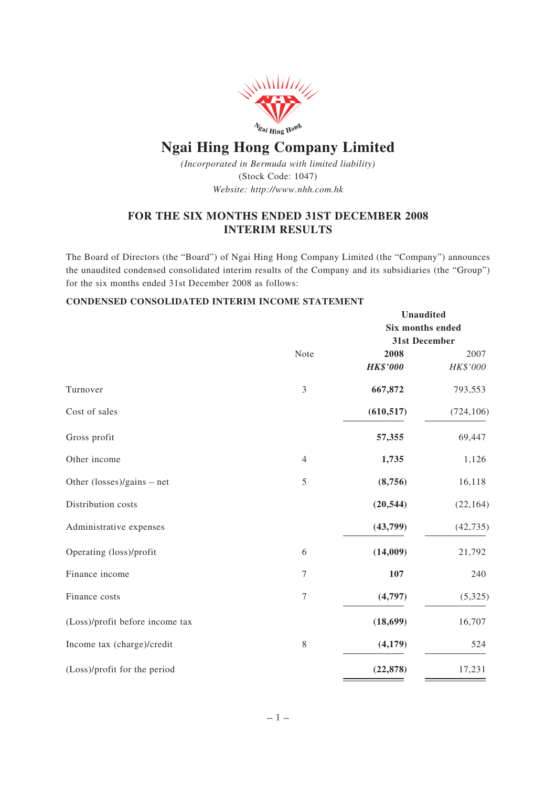

# **Ngai Hing Hong Company Limited**

*(Incorporated in Bermuda with limited liability)* (Stock Code: 1047) *Website: http://www.nhh.com.hk*

# **FOR THE SIX MONTHS ENDED 31ST DECEMBER 2008 INTERIM RESULTS**

The Board of Directors (the "Board") of Ngai Hing Hong Company Limited (the "Company") announces the unaudited condensed consolidated interim results of the Company and its subsidiaries (the "Group") for the six months ended 31st December 2008 as follows:

# **CONDENSED CONSOLIDATED INTERIM INCOME STATEMENT**

|                                            |                | <b>Unaudited</b><br>Six months ended |            |  |
|--------------------------------------------|----------------|--------------------------------------|------------|--|
|                                            |                |                                      |            |  |
|                                            |                | 31st December                        |            |  |
|                                            | Note           | 2008                                 | 2007       |  |
|                                            |                | <b>HK\$'000</b>                      | HK\$'000   |  |
| Turnover                                   | 3              | 667,872                              | 793,553    |  |
| Cost of sales                              |                | (610, 517)                           | (724, 106) |  |
| Gross profit                               |                | 57,355                               | 69,447     |  |
| Other income                               | $\overline{4}$ | 1,735                                | 1,126      |  |
| Other $(\text{losses})/\text{gains}$ – net | 5              | (8,756)                              | 16,118     |  |
| Distribution costs                         |                | (20, 544)                            | (22, 164)  |  |
| Administrative expenses                    |                | (43,799)                             | (42, 735)  |  |
| Operating (loss)/profit                    | $\sqrt{6}$     | (14,009)                             | 21,792     |  |
| Finance income                             | 7              | 107                                  | 240        |  |
| Finance costs                              | 7              | (4,797)                              | (5,325)    |  |
| (Loss)/profit before income tax            |                | (18, 699)                            | 16,707     |  |
| Income tax (charge)/credit                 | $\,$ $\,$      | (4, 179)                             | 524        |  |
| (Loss)/profit for the period               |                | (22, 878)                            | 17,231     |  |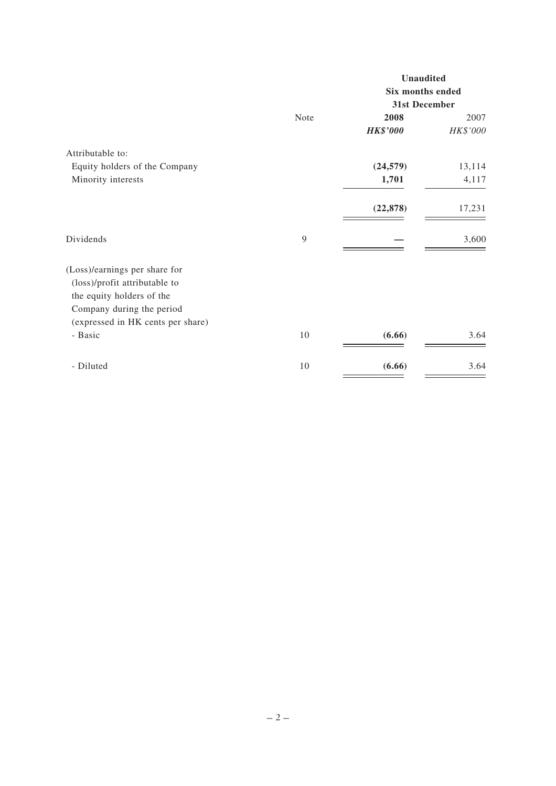|      |                  | <b>Unaudited</b> |  |
|------|------------------|------------------|--|
|      | Six months ended |                  |  |
|      | 31st December    |                  |  |
| Note | 2008             | 2007             |  |
|      | <b>HK\$'000</b>  | HK\$'000         |  |
|      |                  |                  |  |
|      | (24, 579)        | 13,114           |  |
|      | 1,701            | 4,117            |  |
|      | (22, 878)        | 17,231           |  |
| 9    |                  | 3,600            |  |
|      |                  |                  |  |
| 10   | (6.66)           | 3.64             |  |
| 10   | (6.66)           | 3.64             |  |
|      |                  |                  |  |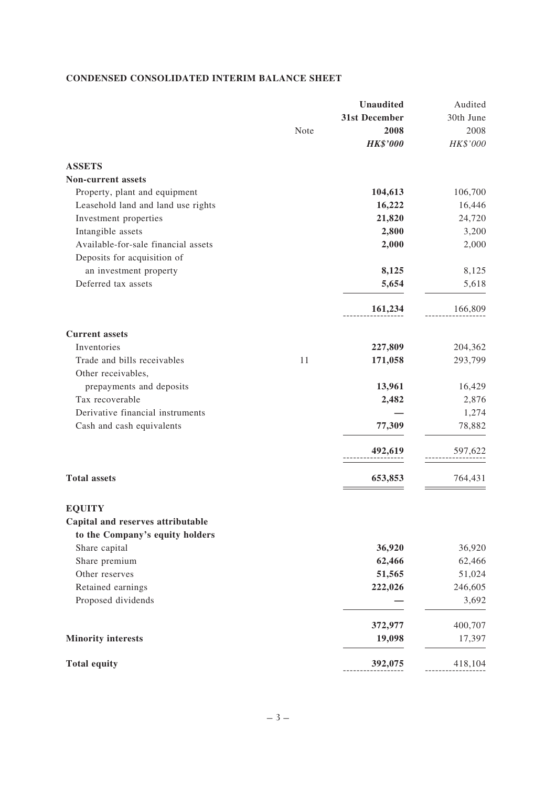# **CONDENSED CONSOLIDATED INTERIM BALANCE SHEET**

|                                                    |      | <b>Unaudited</b> | Audited   |
|----------------------------------------------------|------|------------------|-----------|
|                                                    |      | 31st December    | 30th June |
|                                                    | Note | 2008             | 2008      |
|                                                    |      | <b>HK\$'000</b>  | HK\$'000  |
| <b>ASSETS</b>                                      |      |                  |           |
| Non-current assets                                 |      |                  |           |
| Property, plant and equipment                      |      | 104,613          | 106,700   |
| Leasehold land and land use rights                 |      | 16,222           | 16,446    |
| Investment properties                              |      | 21,820           | 24,720    |
| Intangible assets                                  |      | 2,800            | 3,200     |
| Available-for-sale financial assets                |      | 2,000            | 2,000     |
| Deposits for acquisition of                        |      |                  |           |
| an investment property                             |      | 8,125            | 8,125     |
| Deferred tax assets                                |      | 5,654            | 5,618     |
|                                                    |      | 161,234          | 166,809   |
| <b>Current assets</b>                              |      |                  |           |
| Inventories                                        |      | 227,809          | 204,362   |
| Trade and bills receivables                        | 11   | 171,058          | 293,799   |
| Other receivables,                                 |      |                  |           |
| prepayments and deposits                           |      | 13,961           | 16,429    |
| Tax recoverable                                    |      | 2,482            | 2,876     |
| Derivative financial instruments                   |      |                  | 1,274     |
| Cash and cash equivalents                          |      | 77,309           | 78,882    |
|                                                    |      | 492,619          | 597,622   |
| <b>Total assets</b>                                |      | 653,853          | 764,431   |
|                                                    |      |                  |           |
| <b>EQUITY</b><br>Capital and reserves attributable |      |                  |           |
| to the Company's equity holders                    |      |                  |           |
| Share capital                                      |      | 36,920           | 36,920    |
| Share premium                                      |      | 62,466           | 62,466    |
| Other reserves                                     |      | 51,565           | 51,024    |
| Retained earnings                                  |      | 222,026          | 246,605   |
| Proposed dividends                                 |      |                  | 3,692     |
|                                                    |      |                  |           |
|                                                    |      | 372,977          | 400,707   |
| <b>Minority interests</b>                          |      | 19,098           | 17,397    |
| <b>Total equity</b>                                |      | 392,075          | 418,104   |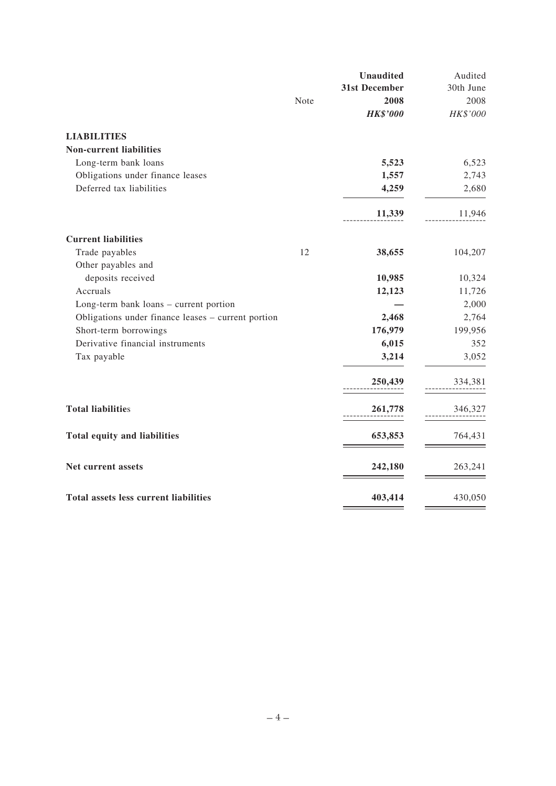|                                                    |      | <b>Unaudited</b> | Audited   |
|----------------------------------------------------|------|------------------|-----------|
|                                                    |      | 31st December    | 30th June |
|                                                    | Note | 2008             | 2008      |
|                                                    |      | <b>HK\$'000</b>  | HK\$'000  |
| <b>LIABILITIES</b>                                 |      |                  |           |
| <b>Non-current liabilities</b>                     |      |                  |           |
| Long-term bank loans                               |      | 5,523            | 6,523     |
| Obligations under finance leases                   |      | 1,557            | 2,743     |
| Deferred tax liabilities                           |      | 4,259            | 2,680     |
|                                                    |      | 11,339           | 11,946    |
| <b>Current liabilities</b>                         |      |                  |           |
| Trade payables                                     | 12   | 38,655           | 104,207   |
| Other payables and                                 |      |                  |           |
| deposits received                                  |      | 10,985           | 10,324    |
| Accruals                                           |      | 12,123           | 11,726    |
| Long-term bank loans - current portion             |      |                  | 2,000     |
| Obligations under finance leases - current portion |      | 2,468            | 2,764     |
| Short-term borrowings                              |      | 176,979          | 199,956   |
| Derivative financial instruments                   |      | 6,015            | 352       |
| Tax payable                                        |      | 3,214            | 3,052     |
|                                                    |      | 250,439          | 334,381   |
| <b>Total liabilities</b>                           |      | 261,778          | 346,327   |
| Total equity and liabilities                       |      | 653,853          | 764,431   |
| Net current assets                                 |      | 242,180          | 263,241   |
| <b>Total assets less current liabilities</b>       |      | 403,414          | 430,050   |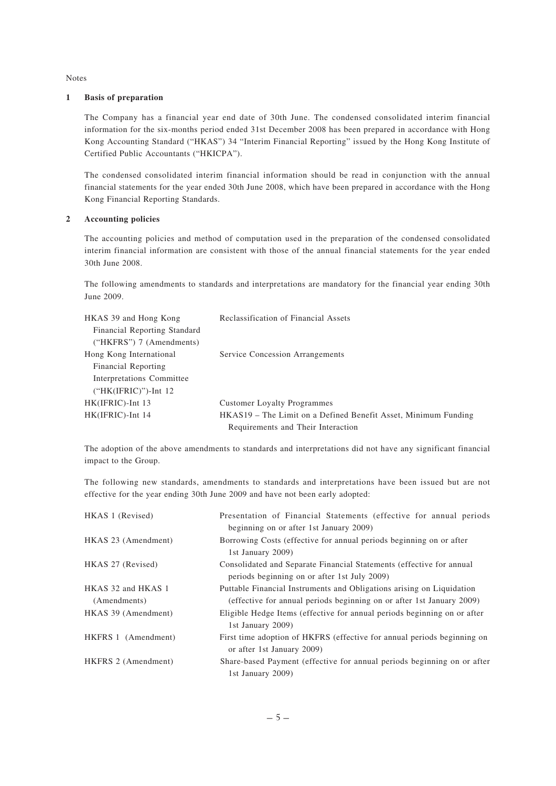Notes

#### **1 Basis of preparation**

The Company has a financial year end date of 30th June. The condensed consolidated interim financial information for the six-months period ended 31st December 2008 has been prepared in accordance with Hong Kong Accounting Standard ("HKAS") 34 "Interim Financial Reporting" issued by the Hong Kong Institute of Certified Public Accountants ("HKICPA").

The condensed consolidated interim financial information should be read in conjunction with the annual financial statements for the year ended 30th June 2008, which have been prepared in accordance with the Hong Kong Financial Reporting Standards.

# **2 Accounting policies**

The accounting policies and method of computation used in the preparation of the condensed consolidated interim financial information are consistent with those of the annual financial statements for the year ended 30th June 2008.

The following amendments to standards and interpretations are mandatory for the financial year ending 30th June 2009.

| HKAS 39 and Hong Kong        | Reclassification of Financial Assets                           |
|------------------------------|----------------------------------------------------------------|
| Financial Reporting Standard |                                                                |
| $("HKFRS")$ 7 (Amendments)   |                                                                |
| Hong Kong International      | Service Concession Arrangements                                |
| Financial Reporting          |                                                                |
| Interpretations Committee    |                                                                |
| $("HK(IFRIC)")$ -Int 12      |                                                                |
| HK(IFRIC)-Int 13             | <b>Customer Loyalty Programmes</b>                             |
| HK(IFRIC)-Int 14             | HKAS19 – The Limit on a Defined Benefit Asset, Minimum Funding |
|                              | Requirements and Their Interaction                             |

The adoption of the above amendments to standards and interpretations did not have any significant financial impact to the Group.

The following new standards, amendments to standards and interpretations have been issued but are not effective for the year ending 30th June 2009 and have not been early adopted:

| HKAS 1 (Revised)                   | Presentation of Financial Statements (effective for annual periods)                                                                            |
|------------------------------------|------------------------------------------------------------------------------------------------------------------------------------------------|
|                                    | beginning on or after 1st January 2009)                                                                                                        |
| HKAS 23 (Amendment)                | Borrowing Costs (effective for annual periods beginning on or after<br>1st January 2009)                                                       |
| HKAS 27 (Revised)                  | Consolidated and Separate Financial Statements (effective for annual<br>periods beginning on or after 1st July 2009)                           |
| HKAS 32 and HKAS 1<br>(Amendments) | Puttable Financial Instruments and Obligations arising on Liquidation<br>(effective for annual periods beginning on or after 1st January 2009) |
| HKAS 39 (Amendment)                | Eligible Hedge Items (effective for annual periods beginning on or after<br>1st January 2009)                                                  |
| HKFRS 1 (Amendment)                | First time adoption of HKFRS (effective for annual periods beginning on<br>or after 1st January 2009)                                          |
| HKFRS 2 (Amendment)                | Share-based Payment (effective for annual periods beginning on or after<br>1st January 2009)                                                   |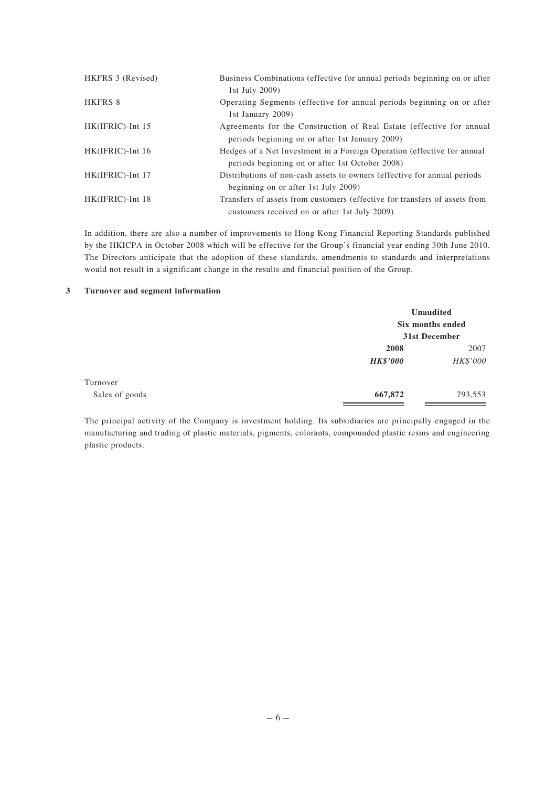| HKFRS 3 (Revised)   | Business Combinations (effective for annual periods beginning on or after<br>1st July 2009)                                 |
|---------------------|-----------------------------------------------------------------------------------------------------------------------------|
| HKFRS 8             | Operating Segments (effective for annual periods beginning on or after<br>1st January 2009)                                 |
| HK(IFRIC)-Int 15    | Agreements for the Construction of Real Estate (effective for annual<br>periods beginning on or after 1st January 2009)     |
| $HK(IFRIC)$ -Int 16 | Hedges of a Net Investment in a Foreign Operation (effective for annual<br>periods beginning on or after 1st October 2008)  |
| HK(IFRIC)-Int 17    | Distributions of non-cash assets to owners (effective for annual periods)<br>beginning on or after 1st July 2009)           |
| HK(IFRIC)-Int 18    | Transfers of assets from customers (effective for transfers of assets from<br>customers received on or after 1st July 2009) |

In addition, there are also a number of improvements to Hong Kong Financial Reporting Standards published by the HKICPA in October 2008 which will be effective for the Group's financial year ending 30th June 2010. The Directors anticipate that the adoption of these standards, amendments to standards and interpretations would not result in a significant change in the results and financial position of the Group.

#### **3 Turnover and segment information**

|                | Unaudited<br>Six months ended |               |
|----------------|-------------------------------|---------------|
|                |                               | 31st December |
|                | 2008                          | 2007          |
|                | <b>HK\$'000</b>               | HK\$'000      |
| Turnover       |                               |               |
| Sales of goods | 667,872                       | 793,553       |

The principal activity of the Company is investment holding. Its subsidiaries are principally engaged in the manufacturing and trading of plastic materials, pigments, colorants, compounded plastic resins and engineering plastic products.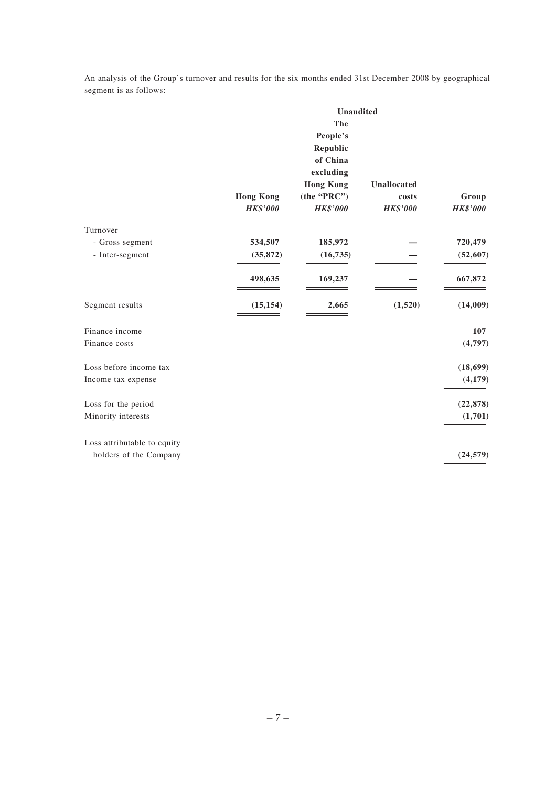An analysis of the Group's turnover and results for the six months ended 31st December 2008 by geographical segment is as follows:

|                             | <b>Unaudited</b> |                  |                 |                 |  |
|-----------------------------|------------------|------------------|-----------------|-----------------|--|
|                             |                  | The              |                 |                 |  |
|                             |                  | People's         |                 |                 |  |
|                             |                  | Republic         |                 |                 |  |
|                             |                  | of China         |                 |                 |  |
|                             |                  | excluding        |                 |                 |  |
|                             |                  | <b>Hong Kong</b> | Unallocated     |                 |  |
|                             | <b>Hong Kong</b> | (the "PRC")      | costs           | Group           |  |
|                             | <b>HK\$'000</b>  | <b>HK\$'000</b>  | <b>HK\$'000</b> | <b>HK\$'000</b> |  |
| Turnover                    |                  |                  |                 |                 |  |
| - Gross segment             | 534,507          | 185,972          |                 | 720,479         |  |
| - Inter-segment             | (35, 872)        | (16, 735)        |                 | (52, 607)       |  |
|                             | 498,635          | 169,237          |                 | 667,872         |  |
| Segment results             | (15, 154)        | 2,665            | (1,520)         | (14,009)        |  |
| Finance income              |                  |                  |                 | 107             |  |
| Finance costs               |                  |                  |                 | (4,797)         |  |
| Loss before income tax      |                  |                  |                 | (18, 699)       |  |
| Income tax expense          |                  |                  |                 | (4,179)         |  |
| Loss for the period         |                  |                  |                 | (22, 878)       |  |
| Minority interests          |                  |                  |                 | (1,701)         |  |
| Loss attributable to equity |                  |                  |                 |                 |  |
| holders of the Company      |                  |                  |                 | (24, 579)       |  |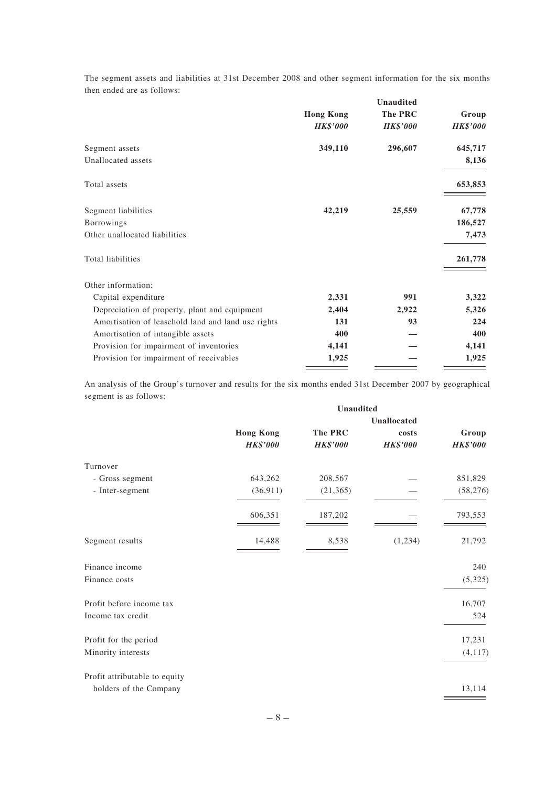The segment assets and liabilities at 31st December 2008 and other segment information for the six months then ended are as follows:

|                                                    |                  | <b>Unaudited</b> |                 |
|----------------------------------------------------|------------------|------------------|-----------------|
|                                                    | <b>Hong Kong</b> | The PRC          | Group           |
|                                                    | <b>HK\$'000</b>  | <b>HK\$'000</b>  | <b>HK\$'000</b> |
| Segment assets                                     | 349,110          | 296,607          | 645,717         |
| Unallocated assets                                 |                  |                  | 8,136           |
| Total assets                                       |                  |                  | 653,853         |
| Segment liabilities                                | 42,219           | 25,559           | 67,778          |
| Borrowings                                         |                  |                  | 186,527         |
| Other unallocated liabilities                      |                  |                  | 7,473           |
| Total liabilities                                  |                  |                  | 261,778         |
| Other information:                                 |                  |                  |                 |
| Capital expenditure                                | 2,331            | 991              | 3,322           |
| Depreciation of property, plant and equipment      | 2,404            | 2,922            | 5,326           |
| Amortisation of leasehold land and land use rights | 131              | 93               | 224             |
| Amortisation of intangible assets                  | 400              |                  | 400             |
| Provision for impairment of inventories            | 4,141            |                  | 4,141           |
| Provision for impairment of receivables            | 1,925            |                  | 1,925           |
|                                                    |                  |                  |                 |

An analysis of the Group's turnover and results for the six months ended 31st December 2007 by geographical segment is as follows:

|                               | Unaudited        |                 |                    |                 |
|-------------------------------|------------------|-----------------|--------------------|-----------------|
|                               |                  |                 | <b>Unallocated</b> |                 |
|                               | <b>Hong Kong</b> | The PRC         | costs              | Group           |
|                               | <b>HK\$'000</b>  | <b>HK\$'000</b> | <b>HK\$'000</b>    | <b>HK\$'000</b> |
| Turnover                      |                  |                 |                    |                 |
| - Gross segment               | 643,262          | 208,567         |                    | 851,829         |
| - Inter-segment               | (36, 911)        | (21, 365)       |                    | (58, 276)       |
|                               | 606,351          | 187,202         |                    | 793,553         |
| Segment results               | 14,488           | 8,538           | (1,234)            | 21,792          |
| Finance income                |                  |                 |                    | 240             |
| Finance costs                 |                  |                 |                    | (5,325)         |
| Profit before income tax      |                  |                 |                    | 16,707          |
| Income tax credit             |                  |                 |                    | 524             |
| Profit for the period         |                  |                 |                    | 17,231          |
| Minority interests            |                  |                 |                    | (4, 117)        |
| Profit attributable to equity |                  |                 |                    |                 |
| holders of the Company        |                  |                 |                    | 13,114          |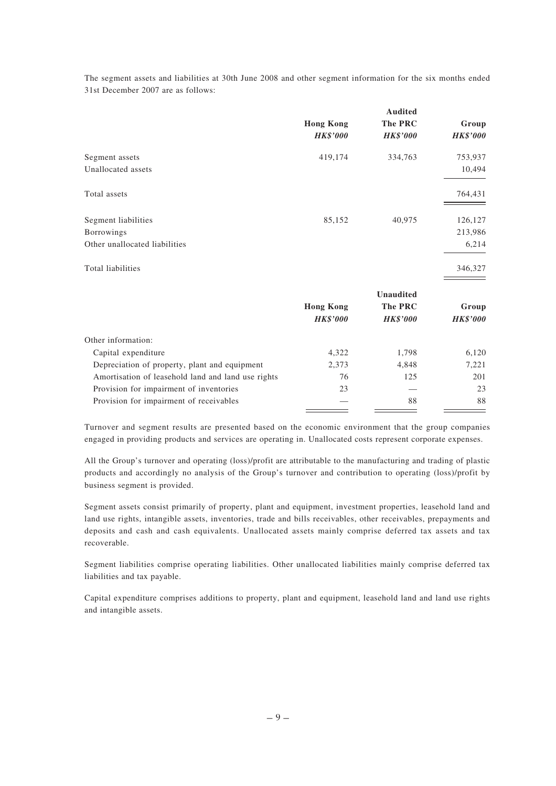The segment assets and liabilities at 30th June 2008 and other segment information for the six months ended 31st December 2007 are as follows:

|                                                    |                  | <b>Audited</b>   |                 |
|----------------------------------------------------|------------------|------------------|-----------------|
|                                                    | <b>Hong Kong</b> | The PRC          | Group           |
|                                                    | <b>HK\$'000</b>  | <b>HK\$'000</b>  | <b>HK\$'000</b> |
| Segment assets                                     | 419,174          | 334,763          | 753,937         |
| Unallocated assets                                 |                  |                  | 10,494          |
| Total assets                                       |                  |                  | 764,431         |
| Segment liabilities                                | 85,152           | 40,975           | 126,127         |
| Borrowings                                         |                  |                  | 213,986         |
| Other unallocated liabilities                      |                  |                  | 6,214           |
| Total liabilities                                  |                  |                  | 346,327         |
|                                                    |                  | <b>Unaudited</b> |                 |
|                                                    | <b>Hong Kong</b> | <b>The PRC</b>   | Group           |
|                                                    | <b>HK\$'000</b>  | <b>HK\$'000</b>  | <b>HK\$'000</b> |
| Other information:                                 |                  |                  |                 |
| Capital expenditure                                | 4,322            | 1,798            | 6,120           |
| Depreciation of property, plant and equipment      | 2,373            | 4,848            | 7,221           |
| Amortisation of leasehold land and land use rights | 76               | 125              | 201             |
| Provision for impairment of inventories            | 23               |                  | 23              |
| Provision for impairment of receivables            |                  | 88               | 88              |

Turnover and segment results are presented based on the economic environment that the group companies engaged in providing products and services are operating in. Unallocated costs represent corporate expenses.

All the Group's turnover and operating (loss)/profit are attributable to the manufacturing and trading of plastic products and accordingly no analysis of the Group's turnover and contribution to operating (loss)/profit by business segment is provided.

Segment assets consist primarily of property, plant and equipment, investment properties, leasehold land and land use rights, intangible assets, inventories, trade and bills receivables, other receivables, prepayments and deposits and cash and cash equivalents. Unallocated assets mainly comprise deferred tax assets and tax recoverable.

Segment liabilities comprise operating liabilities. Other unallocated liabilities mainly comprise deferred tax liabilities and tax payable.

Capital expenditure comprises additions to property, plant and equipment, leasehold land and land use rights and intangible assets.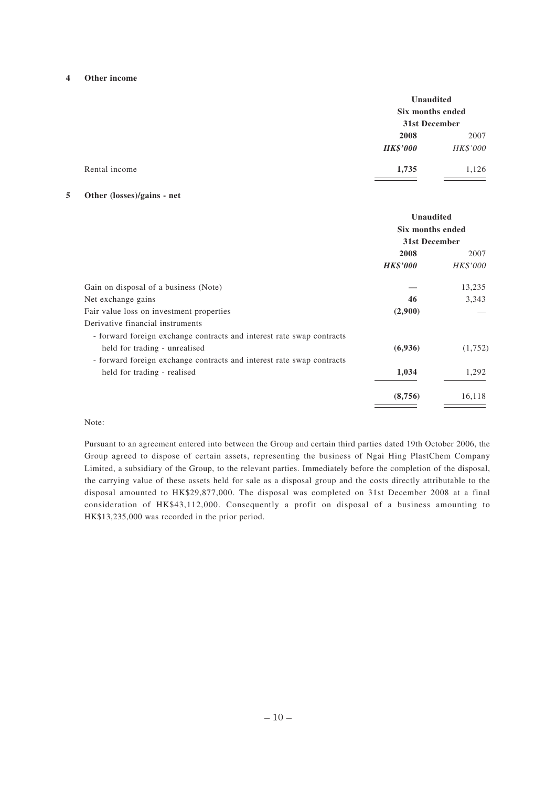#### **4 Other income**

| Unaudited<br>Six months ended<br>31st December |          |
|------------------------------------------------|----------|
|                                                |          |
| <b>HK\$'000</b>                                | HK\$'000 |
| 1,735                                          | 1,126    |
|                                                |          |

#### **5 Other (losses)/gains - net**

|                                                                       | Unaudited<br>Six months ended<br>31st December |          |
|-----------------------------------------------------------------------|------------------------------------------------|----------|
|                                                                       |                                                |          |
|                                                                       |                                                |          |
|                                                                       | 2008                                           | 2007     |
|                                                                       | <b>HK\$'000</b>                                | HK\$'000 |
| Gain on disposal of a business (Note)                                 |                                                | 13,235   |
| Net exchange gains                                                    | 46                                             | 3,343    |
| Fair value loss on investment properties                              | (2,900)                                        |          |
| Derivative financial instruments                                      |                                                |          |
| - forward foreign exchange contracts and interest rate swap contracts |                                                |          |
| held for trading - unrealised                                         | (6,936)                                        | (1,752)  |
| - forward foreign exchange contracts and interest rate swap contracts |                                                |          |
| held for trading - realised                                           | 1,034                                          | 1,292    |
|                                                                       | (8,756)                                        | 16,118   |

#### Note:

Pursuant to an agreement entered into between the Group and certain third parties dated 19th October 2006, the Group agreed to dispose of certain assets, representing the business of Ngai Hing PlastChem Company Limited, a subsidiary of the Group, to the relevant parties. Immediately before the completion of the disposal, the carrying value of these assets held for sale as a disposal group and the costs directly attributable to the disposal amounted to HK\$29,877,000. The disposal was completed on 31st December 2008 at a final consideration of HK\$43,112,000. Consequently a profit on disposal of a business amounting to HK\$13,235,000 was recorded in the prior period.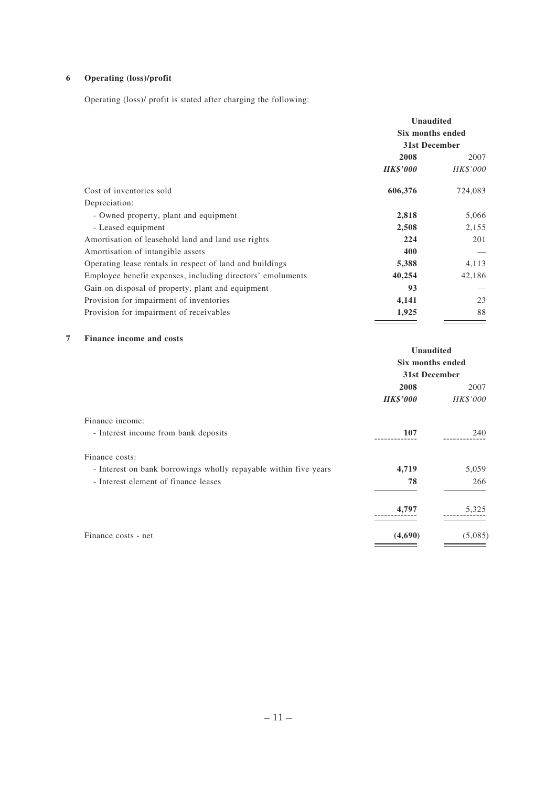# **6 Operating (loss)/profit**

Operating (loss)/ profit is stated after charging the following:

|                                                            | <b>Unaudited</b><br>Six months ended<br>31st December |          |
|------------------------------------------------------------|-------------------------------------------------------|----------|
|                                                            | 2008                                                  | 2007     |
|                                                            | <b>HK\$'000</b>                                       | HK\$'000 |
| Cost of inventories sold                                   | 606,376                                               | 724,083  |
| Depreciation:                                              |                                                       |          |
| - Owned property, plant and equipment                      | 2,818                                                 | 5,066    |
| - Leased equipment                                         | 2,508                                                 | 2,155    |
| Amortisation of leasehold land and land use rights         | 224                                                   | 201      |
| Amortisation of intangible assets                          | 400                                                   |          |
| Operating lease rentals in respect of land and buildings   | 5,388                                                 | 4,113    |
| Employee benefit expenses, including directors' emoluments | 40,254                                                | 42,186   |
| Gain on disposal of property, plant and equipment          | 93                                                    |          |
| Provision for impairment of inventories                    | 4,141                                                 | 23       |
| Provision for impairment of receivables                    | 1,925                                                 | 88       |

# **7 Finance income and costs**

|                                                                  | Unaudited<br>Six months ended<br>31st December |          |
|------------------------------------------------------------------|------------------------------------------------|----------|
|                                                                  |                                                |          |
|                                                                  |                                                |          |
|                                                                  | 2008                                           | 2007     |
|                                                                  | <b>HK\$'000</b>                                | HK\$'000 |
| Finance income:                                                  |                                                |          |
| - Interest income from bank deposits                             | 107                                            | 240      |
| Finance costs:                                                   |                                                |          |
| - Interest on bank borrowings wholly repayable within five years | 4,719                                          | 5,059    |
| - Interest element of finance leases                             | 78                                             | 266      |
|                                                                  | 4,797                                          | 5,325    |
| Finance costs - net                                              | (4,690)                                        | (5,085)  |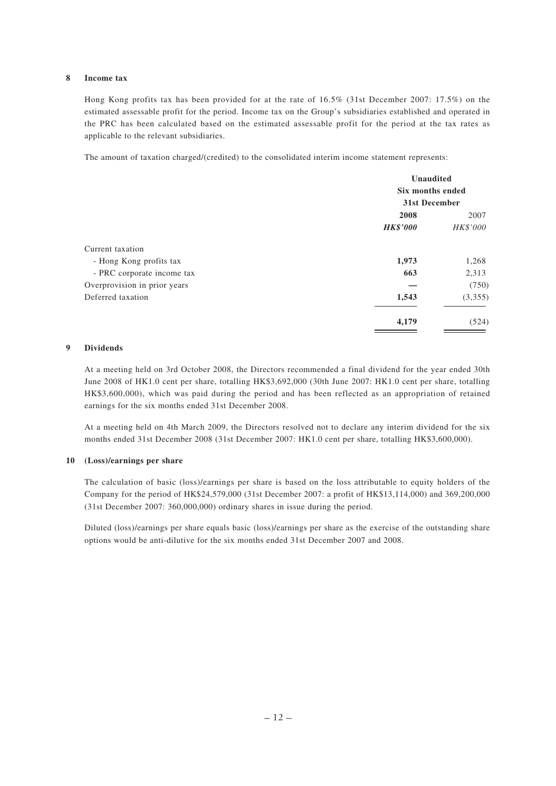#### **8 Income tax**

Hong Kong profits tax has been provided for at the rate of 16.5% (31st December 2007: 17.5%) on the estimated assessable profit for the period. Income tax on the Group's subsidiaries established and operated in the PRC has been calculated based on the estimated assessable profit for the period at the tax rates as applicable to the relevant subsidiaries.

The amount of taxation charged/(credited) to the consolidated interim income statement represents:

|                              | Unaudited<br>Six months ended<br>31st December |                  |
|------------------------------|------------------------------------------------|------------------|
|                              | 2008<br><b>HK\$'000</b>                        | 2007<br>HK\$'000 |
| Current taxation             |                                                |                  |
| - Hong Kong profits tax      | 1,973                                          | 1,268            |
| - PRC corporate income tax   | 663                                            | 2,313            |
| Overprovision in prior years |                                                | (750)            |
| Deferred taxation            | 1,543                                          | (3,355)          |
|                              | 4,179                                          | (524)            |

#### **9 Dividends**

At a meeting held on 3rd October 2008, the Directors recommended a final dividend for the year ended 30th June 2008 of HK1.0 cent per share, totalling HK\$3,692,000 (30th June 2007: HK1.0 cent per share, totalling HK\$3,600,000), which was paid during the period and has been reflected as an appropriation of retained earnings for the six months ended 31st December 2008.

At a meeting held on 4th March 2009, the Directors resolved not to declare any interim dividend for the six months ended 31st December 2008 (31st December 2007: HK1.0 cent per share, totalling HK\$3,600,000).

#### **10 (Loss)/earnings per share**

The calculation of basic (loss)/earnings per share is based on the loss attributable to equity holders of the Company for the period of HK\$24,579,000 (31st December 2007: a profit of HK\$13,114,000) and 369,200,000 (31st December 2007: 360,000,000) ordinary shares in issue during the period.

Diluted (loss)/earnings per share equals basic (loss)/earnings per share as the exercise of the outstanding share options would be anti-dilutive for the six months ended 31st December 2007 and 2008.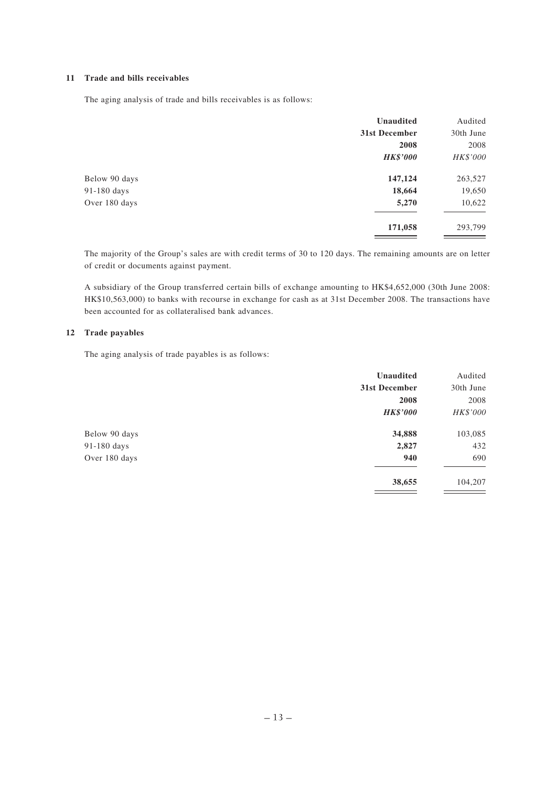#### **11 Trade and bills receivables**

The aging analysis of trade and bills receivables is as follows:

|               | <b>Unaudited</b> | Audited   |
|---------------|------------------|-----------|
|               | 31st December    | 30th June |
|               | 2008             | 2008      |
|               | <b>HK\$'000</b>  | HK\$'000  |
| Below 90 days | 147,124          | 263,527   |
| 91-180 days   | 18,664           | 19,650    |
| Over 180 days | 5,270            | 10,622    |
|               | 171,058          | 293,799   |

The majority of the Group's sales are with credit terms of 30 to 120 days. The remaining amounts are on letter of credit or documents against payment.

A subsidiary of the Group transferred certain bills of exchange amounting to HK\$4,652,000 (30th June 2008: HK\$10,563,000) to banks with recourse in exchange for cash as at 31st December 2008. The transactions have been accounted for as collateralised bank advances.

### **12 Trade payables**

The aging analysis of trade payables is as follows:

|               | <b>Unaudited</b> | Audited   |
|---------------|------------------|-----------|
|               | 31st December    | 30th June |
|               | 2008             | 2008      |
|               | <b>HK\$'000</b>  | HK\$'000  |
| Below 90 days | 34,888           | 103,085   |
| 91-180 days   | 2,827            | 432       |
| Over 180 days | 940              | 690       |
|               | 38,655           | 104,207   |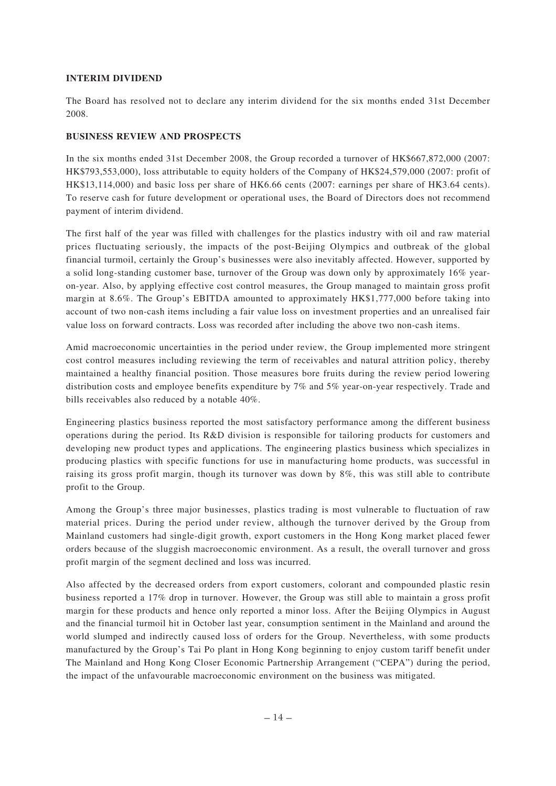# **INTERIM DIVIDEND**

The Board has resolved not to declare any interim dividend for the six months ended 31st December 2008.

#### **BUSINESS REVIEW AND PROSPECTS**

In the six months ended 31st December 2008, the Group recorded a turnover of HK\$667,872,000 (2007: HK\$793,553,000), loss attributable to equity holders of the Company of HK\$24,579,000 (2007: profit of HK\$13,114,000) and basic loss per share of HK6.66 cents (2007: earnings per share of HK3.64 cents). To reserve cash for future development or operational uses, the Board of Directors does not recommend payment of interim dividend.

The first half of the year was filled with challenges for the plastics industry with oil and raw material prices fluctuating seriously, the impacts of the post-Beijing Olympics and outbreak of the global financial turmoil, certainly the Group's businesses were also inevitably affected. However, supported by a solid long-standing customer base, turnover of the Group was down only by approximately 16% yearon-year. Also, by applying effective cost control measures, the Group managed to maintain gross profit margin at 8.6%. The Group's EBITDA amounted to approximately HK\$1,777,000 before taking into account of two non-cash items including a fair value loss on investment properties and an unrealised fair value loss on forward contracts. Loss was recorded after including the above two non-cash items.

Amid macroeconomic uncertainties in the period under review, the Group implemented more stringent cost control measures including reviewing the term of receivables and natural attrition policy, thereby maintained a healthy financial position. Those measures bore fruits during the review period lowering distribution costs and employee benefits expenditure by 7% and 5% year-on-year respectively. Trade and bills receivables also reduced by a notable 40%.

Engineering plastics business reported the most satisfactory performance among the different business operations during the period. Its R&D division is responsible for tailoring products for customers and developing new product types and applications. The engineering plastics business which specializes in producing plastics with specific functions for use in manufacturing home products, was successful in raising its gross profit margin, though its turnover was down by 8%, this was still able to contribute profit to the Group.

Among the Group's three major businesses, plastics trading is most vulnerable to fluctuation of raw material prices. During the period under review, although the turnover derived by the Group from Mainland customers had single-digit growth, export customers in the Hong Kong market placed fewer orders because of the sluggish macroeconomic environment. As a result, the overall turnover and gross profit margin of the segment declined and loss was incurred.

Also affected by the decreased orders from export customers, colorant and compounded plastic resin business reported a 17% drop in turnover. However, the Group was still able to maintain a gross profit margin for these products and hence only reported a minor loss. After the Beijing Olympics in August and the financial turmoil hit in October last year, consumption sentiment in the Mainland and around the world slumped and indirectly caused loss of orders for the Group. Nevertheless, with some products manufactured by the Group's Tai Po plant in Hong Kong beginning to enjoy custom tariff benefit under The Mainland and Hong Kong Closer Economic Partnership Arrangement ("CEPA") during the period, the impact of the unfavourable macroeconomic environment on the business was mitigated.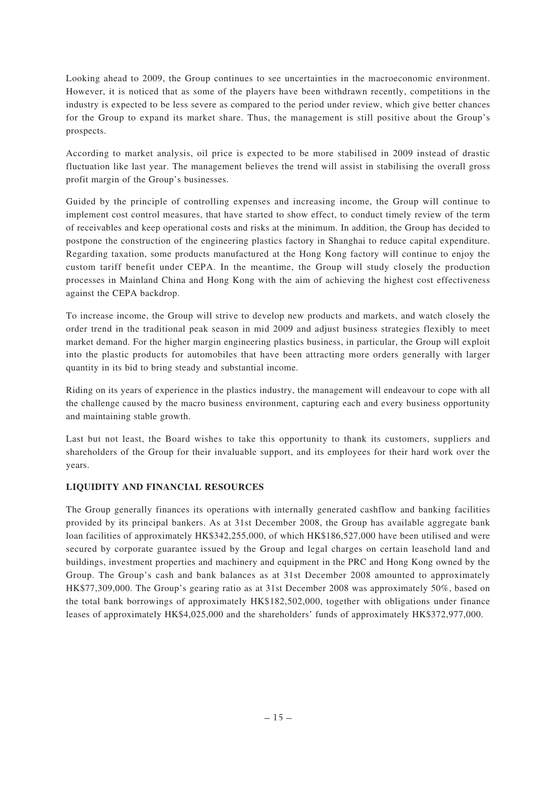Looking ahead to 2009, the Group continues to see uncertainties in the macroeconomic environment. However, it is noticed that as some of the players have been withdrawn recently, competitions in the industry is expected to be less severe as compared to the period under review, which give better chances for the Group to expand its market share. Thus, the management is still positive about the Group's prospects.

According to market analysis, oil price is expected to be more stabilised in 2009 instead of drastic fluctuation like last year. The management believes the trend will assist in stabilising the overall gross profit margin of the Group's businesses.

Guided by the principle of controlling expenses and increasing income, the Group will continue to implement cost control measures, that have started to show effect, to conduct timely review of the term of receivables and keep operational costs and risks at the minimum. In addition, the Group has decided to postpone the construction of the engineering plastics factory in Shanghai to reduce capital expenditure. Regarding taxation, some products manufactured at the Hong Kong factory will continue to enjoy the custom tariff benefit under CEPA. In the meantime, the Group will study closely the production processes in Mainland China and Hong Kong with the aim of achieving the highest cost effectiveness against the CEPA backdrop.

To increase income, the Group will strive to develop new products and markets, and watch closely the order trend in the traditional peak season in mid 2009 and adjust business strategies flexibly to meet market demand. For the higher margin engineering plastics business, in particular, the Group will exploit into the plastic products for automobiles that have been attracting more orders generally with larger quantity in its bid to bring steady and substantial income.

Riding on its years of experience in the plastics industry, the management will endeavour to cope with all the challenge caused by the macro business environment, capturing each and every business opportunity and maintaining stable growth.

Last but not least, the Board wishes to take this opportunity to thank its customers, suppliers and shareholders of the Group for their invaluable support, and its employees for their hard work over the years.

# **LIQUIDITY AND FINANCIAL RESOURCES**

The Group generally finances its operations with internally generated cashflow and banking facilities provided by its principal bankers. As at 31st December 2008, the Group has available aggregate bank loan facilities of approximately HK\$342,255,000, of which HK\$186,527,000 have been utilised and were secured by corporate guarantee issued by the Group and legal charges on certain leasehold land and buildings, investment properties and machinery and equipment in the PRC and Hong Kong owned by the Group. The Group's cash and bank balances as at 31st December 2008 amounted to approximately HK\$77,309,000. The Group's gearing ratio as at 31st December 2008 was approximately 50%, based on the total bank borrowings of approximately HK\$182,502,000, together with obligations under finance leases of approximately HK\$4,025,000 and the shareholders' funds of approximately HK\$372,977,000.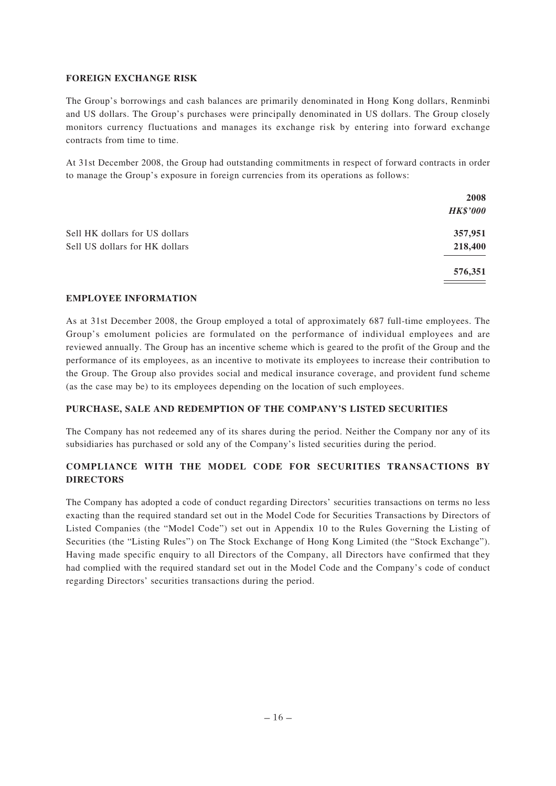### **FOREIGN EXCHANGE RISK**

The Group's borrowings and cash balances are primarily denominated in Hong Kong dollars, Renminbi and US dollars. The Group's purchases were principally denominated in US dollars. The Group closely monitors currency fluctuations and manages its exchange risk by entering into forward exchange contracts from time to time.

At 31st December 2008, the Group had outstanding commitments in respect of forward contracts in order to manage the Group's exposure in foreign currencies from its operations as follows:

|                                | 2008            |
|--------------------------------|-----------------|
|                                | <b>HK\$'000</b> |
| Sell HK dollars for US dollars | 357,951         |
| Sell US dollars for HK dollars | 218,400         |
|                                | 576,351         |

# **EMPLOYEE INFORMATION**

As at 31st December 2008, the Group employed a total of approximately 687 full-time employees. The Group's emolument policies are formulated on the performance of individual employees and are reviewed annually. The Group has an incentive scheme which is geared to the profit of the Group and the performance of its employees, as an incentive to motivate its employees to increase their contribution to the Group. The Group also provides social and medical insurance coverage, and provident fund scheme (as the case may be) to its employees depending on the location of such employees.

# **PURCHASE, SALE AND REDEMPTION OF THE COMPANY'S LISTED SECURITIES**

The Company has not redeemed any of its shares during the period. Neither the Company nor any of its subsidiaries has purchased or sold any of the Company's listed securities during the period.

# **COMPLIANCE WITH THE MODEL CODE FOR SECURITIES TRANSACTIONS BY DIRECTORS**

The Company has adopted a code of conduct regarding Directors' securities transactions on terms no less exacting than the required standard set out in the Model Code for Securities Transactions by Directors of Listed Companies (the "Model Code") set out in Appendix 10 to the Rules Governing the Listing of Securities (the "Listing Rules") on The Stock Exchange of Hong Kong Limited (the "Stock Exchange"). Having made specific enquiry to all Directors of the Company, all Directors have confirmed that they had complied with the required standard set out in the Model Code and the Company's code of conduct regarding Directors' securities transactions during the period.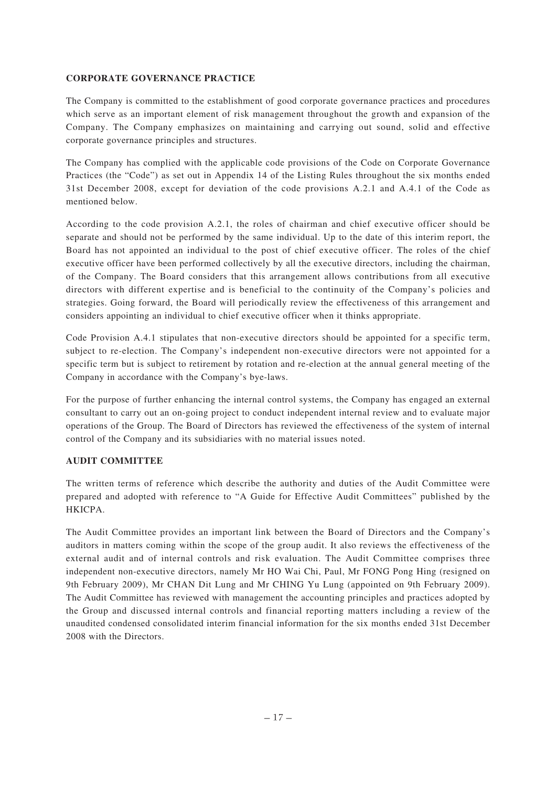# **CORPORATE GOVERNANCE PRACTICE**

The Company is committed to the establishment of good corporate governance practices and procedures which serve as an important element of risk management throughout the growth and expansion of the Company. The Company emphasizes on maintaining and carrying out sound, solid and effective corporate governance principles and structures.

The Company has complied with the applicable code provisions of the Code on Corporate Governance Practices (the "Code") as set out in Appendix 14 of the Listing Rules throughout the six months ended 31st December 2008, except for deviation of the code provisions A.2.1 and A.4.1 of the Code as mentioned below.

According to the code provision A.2.1, the roles of chairman and chief executive officer should be separate and should not be performed by the same individual. Up to the date of this interim report, the Board has not appointed an individual to the post of chief executive officer. The roles of the chief executive officer have been performed collectively by all the executive directors, including the chairman, of the Company. The Board considers that this arrangement allows contributions from all executive directors with different expertise and is beneficial to the continuity of the Company's policies and strategies. Going forward, the Board will periodically review the effectiveness of this arrangement and considers appointing an individual to chief executive officer when it thinks appropriate.

Code Provision A.4.1 stipulates that non-executive directors should be appointed for a specific term, subject to re-election. The Company's independent non-executive directors were not appointed for a specific term but is subject to retirement by rotation and re-election at the annual general meeting of the Company in accordance with the Company's bye-laws.

For the purpose of further enhancing the internal control systems, the Company has engaged an external consultant to carry out an on-going project to conduct independent internal review and to evaluate major operations of the Group. The Board of Directors has reviewed the effectiveness of the system of internal control of the Company and its subsidiaries with no material issues noted.

# **AUDIT COMMITTEE**

The written terms of reference which describe the authority and duties of the Audit Committee were prepared and adopted with reference to "A Guide for Effective Audit Committees" published by the HKICPA.

The Audit Committee provides an important link between the Board of Directors and the Company's auditors in matters coming within the scope of the group audit. It also reviews the effectiveness of the external audit and of internal controls and risk evaluation. The Audit Committee comprises three independent non-executive directors, namely Mr HO Wai Chi, Paul, Mr FONG Pong Hing (resigned on 9th February 2009), Mr CHAN Dit Lung and Mr CHING Yu Lung (appointed on 9th February 2009). The Audit Committee has reviewed with management the accounting principles and practices adopted by the Group and discussed internal controls and financial reporting matters including a review of the unaudited condensed consolidated interim financial information for the six months ended 31st December 2008 with the Directors.